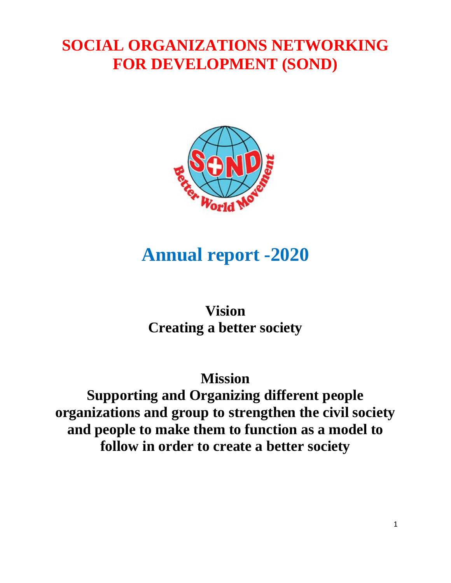## **SOCIAL ORGANIZATIONS NETWORKING FOR DEVELOPMENT (SOND)**



# **Annual report -2020**

## **Vision Creating a better society**

## **Mission Supporting and Organizing different people organizations and group to strengthen the civil society and people to make them to function as a model to follow in order to create a better society**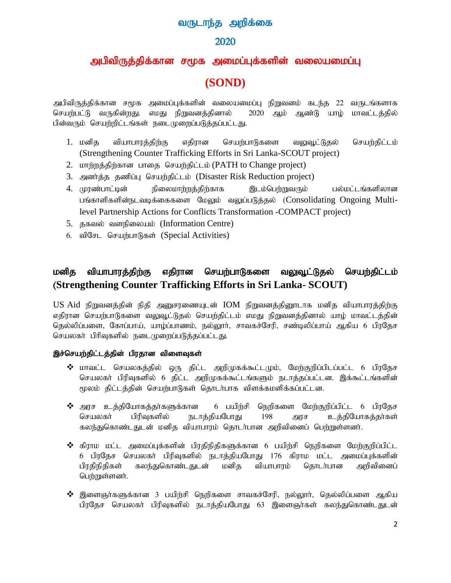## வருடாந்த அறிக்கை

## 2020

## அபிவிருத்திக்கான சமூக அமைப்புக்களின் வலையமைப்பு

## **(SOND)**

அபிவிருத்திக்கான சமூக அமைப்புக்களின் வலையமைப்பு நிறுவனம் கடந்த 22 வருடங்களாக செயற்பட்டு வருகின்றது. எமது நிறுவனத்தினால் 2020 ஆம் ஆண்டு யாழ் மாவட்டத்தில் பின்வரும் செயற்றிட்டங்கள் நடைமுறைப்படுத்தப்பட்டது.

- 1. மனித வியாபாரத்திற்கு எதிரான செயற்பாடுகளை வலுவூட்டுதல் செயற்திட்டம் (Strengthening Counter Trafficking Efforts in Sri Lanka-SCOUT project)
- 2. மாற்றத்திற்கான பாதை செயற்திட்டம் (PATH to Change project)
- 3. அனர்த்த தணிப்பு செயர்திட்டம் (Disaster Risk Reduction project)
- 4. முரண்பாட்டின் நிலைமாற்றத்திற்காக இடம்பெற்றுவரும் பல்மட்டங்களிலான பங்காளிகளின்நடவடிக்கைகளை மேலும் வலுப்படுத்தல் (Consolidating Ongoing Multilevel Partnership Actions for Conflicts Transformation -COMPACT project)
- 5. தகவல் வளநிலையம் (Information Centre)
- $6.$  விசேட செயர்பாடுகள் (Special Activities)

## மனித வியாபாரத்திற்கு எதிரான செயற்பாடுகளை வலுவூட்டுதல் செயற்திட்டம் (**Strengthening Counter Trafficking Efforts in Sri Lanka- SCOUT)**

 $US$  Aid நிறுவனத்தின் நிதி அனுசரணையுடன்  $IOM$  நிறுவனத்தினூடாக மனித வியாபாரத்திற்கு எதிரான செயற்பாடுகளை வலுவூட்டுதல் செயற்திட்டம் எமது நிறுவனத்தினால் யாழ் மாவட்டத்தின் தெல்லிப்பளை, கோப்பாய், யாழ்ப்பாணம், நல்லூா், சாவகச்சேரி, சண்டிலிப்பாய் ஆகிய 6 பிரதேச செயலகர் பிரிவுகளில் நடைமுறைப்படுத்தப்பட்டது.

#### இச்செயற்திட்டத்தின் பிரதான விளைவுகள்

- $\boldsymbol{\hat{X}}$  மாவட்ட செயலகத்தில் ஒரு திட்ட அறிமுகக்கூட்டமும், மேற்குறிப்பிடப்பட்ட 6 பிரதேச செயலகா் பிரிவுகளில் 6 திட்ட அறிமுகக்கூட்டங்களும் நடாத்தப்பட்டன. இக்கூட்டங்களின் மூலம் திட்டத்தின் செயற்பாடுகள் தொடர்பாக விளக்கமளிக்கப்பட்டன.
- $\boldsymbol{\hat{\cdot}}$  அரச உத்தியோகத்தா்களுக்கான 6 பயிற்சி நெறிகளை மேற்குறிப்பிட்ட 6 பிரதேச செயலகா் பிரிவுகளில் நடாத்தியபோது 198 அரச உத்தியோகத்தா்கள் கலந்துகொண்டதுடன் மனித வியாபாரம் தொடர்பான அறிவினைப் பெற்றுள்ளனர்.
- $\clubsuit$  கிராம மட்ட அமைப்புக்களின் பிரதிநிதிகளுக்கான 6 பயிற்சி நெறிகளை மேற்குறிப்பிட்ட 6 பிரதேச செயலகர் பிரிவுகளில் நடாத்தியபோது 176 கிராம மட்ட அமைப்புக்களின் பிரதிநிதிகள் கலந்துகொண்டதுடன் மனித வியாபாரம் தொடா்பான அறிவினைப் பெற்றுள்ளனர்.
- $\boldsymbol{\hat{3}}$  இளைஞா்களுக்கான 3 பயிற்சி நெறிகளை சாவகச்சேரி, நல்லுாா், தெல்லிப்பளை ஆகிய பிரதேச செயலகர் பிரிவுகளில் நடாத்தியபோது 63 இளைஞர்கள் கலந்துகொண்டதுடன்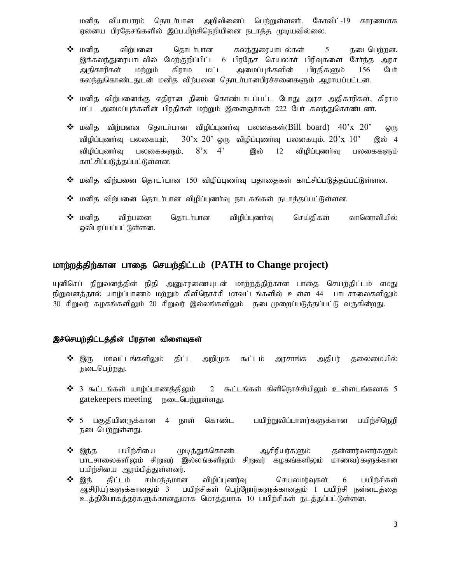மனித வியாபாரம் தொடர்பான அறிவினைப் பெற்றுள்ளனர். கோவிட்-19 காரணமாக ஏனைய பிரதேசங்களில் இப்பயிற்சிநெறியினை நடாத்த முடியவில்லை.

- $\bm{\hat{\cdot}}$  மனித விற்பனை தொடர்பான கலந்துரையாடல்கள் 5 நடைபெற்றன. இக்கலந்துரையாடலில் மேற்குறிப்பிட்ட 6 பிரதேச செயலகா் பிரிவுகளை சோ்ந்த அரச<br>அதிகாரிகள் மற்றும் கிராம மட்ட அமைப்புக்களின் பிாகிகளும் 156 போ் அதிகாரிகள் மற்றும் கிராம மட்ட அமைப்புக்களின் பிரதிகளும் 156 பேர் கலந்துகொண்டதுடன் மனித விற்பனை தொடர்பானபிரச்சனைகளும் ஆராயப்பட்டன.
- $\bm{\hat{B}}$  மனித விந்பனைக்கு எதிரான தினம் கொண்டாடப்பட்ட போது அரச அதிகாரிகள், கிராம மட்ட அமைப்புக்களின் பிரதிகள் மற்றும் இளைஞர்கள் 222 பேர் கலந்துகொண்டனர்.
- $\boldsymbol{\hat{P}}$  மனித விற்பனை தொடர்பான விழிப்புணர்வு பலகைகள்(Bill board)  $40\text{'x}$   $20\text{'}$  ஒரு விழிப்புணர்வு பலகையும்,  $1.30 \times 20'$  ஒரு விழிப்புணர்வு பலகையும்,  $20 \times 10'$  இல் 4 விழிப்புணர்வு பலகைகளும்,  $8^\circ x$   $4^\circ$  இல் 12 விழிப்புணர்வு பலகைகளும் காட்சிப்படுக்கப்பட்டுள்ளன.
- $\bm{\hat{B}}$  மனித விர்பனை தொடர்பான 150 விழிப்புணர்வு பதாதைகள் காட்சிப்படுத்தப்பட்டுள்ளன.
- $\boldsymbol{\hat{y}}$  மனித விற்பனை தொடர்பான விழிப்புணர்வு நாடகங்கள் நடாத்தப்பட்டுள்ளன.
- $\bm{\hat{B}}$  மனித விற்பனை தொடர்பான விழிப்புணர்வு செய்திகள் வானொலியில் லிபரப்பப்பட்டுள்ளன.

## khw;wj;jpw;fhd ghij nraw;jpl;lk; **(PATH to Change project)**

யுனிசெப் நிறுவனத்தின் நிதி அனுசரணையுடன் மாற்றத்திற்கான பாதை செயற்திட்டம் எமது நிறுவனத்தால் யாழ்ப்பாணம் மற்றும் கிளிநொச்சி மாவட்டங்களில் உள்ள 44 பாடசாலைகளிலும் 30 சிறுவர் கழகங்களிலும் 20 சிறுவர் இல்லங்களிலும் நடைமுறைப்படுத்தப்பட்டு வருகின்றது.

#### இச்செயற்திட்டத்தின் பிரதான விளைவுகள்

- $\boldsymbol{\hat{\cdot}}$  இரு மாவட்டங்களிலும் திட்ட அறிமுக கூட்டம் அரசாங்க அதிபர் தலைமையில் நடைபெற்றது.
- $\clubsuit$  3 கூட்டங்கள் யாழ்ப்பாணத்திலும் 2 கூட்டங்கள் கிளிநொச்சியிலும் உள்ளடங்கலாக 5 gatekeepers meeting **B**<sub>DD</sub> Gungmoing.
- $\bm{\hat{B}}$  5 பகுதியினருக்கான 4 நாள் கொண்ட பயிற்றுவிப்பாளர்களுக்கான பயிற்சிநெறி நடைபெர்றுள்ளது.
- $\bm{\hat{B}}$  இந்த பயிற்சியை முடித்துக்கொண்ட ஆசிரியர்களும் தன்னார்வளர்களும் பாடசாலைகளிலும் சிறுவர் இல்லங்களிலும் சிறுவர் கழகங்களிலும் மாணவர்களுக்கான பயிற்சியை ஆரம்பித்துள்ளனர்.
- $\bm{\hat{y}}$  இத் திட்டம் சம்மந்தமான விழிப்புணர்வு செயலமர்வுகள் 6 பயிற்சிகள் ஆசிரியர்களுக்கானதும் 3 பயிற்சிகள் பெற்றோர்களுக்கானதும் 1 பயிற்சி நன்னடத்தை உத்தியோகத்தர்களுக்கானதுமாக மொத்தமாக 10 பயிர்சிகள் நடத்தப்பட்டுள்ளன.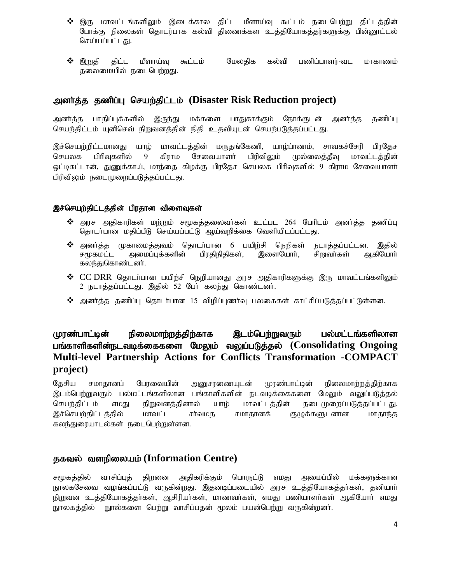- $\bm{\hat{y}}$  இரு மாவட்டங்களிலும் இடைக்கால கிட்ட மீளாய்வு கூட்டம் நடைபெற்று கிட்டக்கின் போக்கு நிலைகள் தொடர்பாக கல்வி திணைக்கள உத்தியோகத்தர்களுக்கு பின்னூட்டல் செய்யப்பட்டது.
- $\clubsuit$  இறுதி திட்ட மீளாய்வு கூட்டம் மேலதிக கல்வி பணிப்பாளர்-வட மாகாணம் தலைமையில் நடைபெற்றது.

## mdh;j;j jzpg;G nraw;jpl;lk; **(Disaster Risk Reduction project)**

அனர்த்த பாதிப்புக்களில் இருந்து மக்களை பாதுகாக்கும் நோக்குடன் அனர்த்த தணிப்பு செயற்திட்டம் யுனிசெவ் நிறுவனத்தின் நிதி உதவியுடன் செயற்படுத்தப்பட்டது.

இச்செயற்றிட்டமானது யாழ் மாவட்டத்தின் மருதங்கேணி, யாழ்ப்ாணம், சாவகச்சேரி பிரதேச செயலக பிரிவுகளில் 9 கிராம சேவையாளர் பிரிவிலும் முல்லைத்தீவு மாவட்டத்தின் லுட்டிசுட்டான், துணுக்காய், மாந்தை கிழக்கு பிரதேச செயலக பிரிவுகளில் 9 கிராம சேவையாளர் பிரிவிலும் நடைமுறைப்படுத்தப்பட்டது.

#### இச்செயற்திட்டத்தின் பிரதான விளைவுகள்

- $\bm{\hat{v}}$  அரச அதிகாரிகள் மற்றும் சமூகத்தலைவா்கள் உட்பட 264 பேரிடம் அனா்த்த தணிப்பு தொடர்பான மதிப்பீடு செய்யப்பட்டு ஆய்வறிக்கை வெளியிடப்பட்டது.
- **்** அனா்த்த முகாமைத்துவம் தொடா்பான 6 பயிற்சி நெறிகள் நடாத்தப்பட்டன. இதில்<br>சமூகமட்ட அமைப்புக்களின் பிரதிநிதிகள், இளையோா், சிறுவா்கள் ஆகியோா் அமைப்புக்களின் கலந்துகொண்டனர்.
- $\bm{\cdot}$   $CC$   $DRR$  தொடர்பான பயிற்சி நெறியானது அரச அதிகாரிகளுக்கு இரு மாவட்டங்களிலும் 2 நடாத்தப்பட்டது. இதில் 52 பேர் கலந்து கொண்டனர்.
- $\boldsymbol{\hat{v}}$  அனர்த்த தணிப்பு தொடர்பான 15 விழிப்புணர்வு பலகைகள் காட்சிப்படுத்தப்பட்டுள்ளன.

## முரண்பாட்டின் நிலைமாற்றத்திற்காக இடம்பெற்றுவரும் பல்மட்டங்களிலான பங்காளிகளின்நடவடிக்கைகளை மேலும் வலுப்படுத்தல் (Consolidating Ongoing **Multi-level Partnership Actions for Conflicts Transformation -COMPACT project)**

தேசிய சமாதானப் பேரவையின் அனுசரணையுடன் முரண்பாட்டின் நிலைமாற்றத்திற்காக இடம்பெற்றுவரும் பல்மட்டங்களிலான பங்காளிகளின் நடவடிக்கைகளை மேலும் வலுப்படுத்தல் செயற்திட்டம் எமது நிறுவனத்தினால் யாழ் மாவட்டத்தின் நடைமுறைப்படுத்தப்பட்டது. இச்செயற்கிட்டத்தில் மாவட்ட சர்வமத சமாதானக் குமுக்களுடனான மாதாந்த கலந்துரையாடல்கள் நடைபெற்றுள்ளன.

## தகவல் வளநிலையம் (Information Centre)

சமூகத்தில் வாசிப்புத் திறனை அதிகரிக்கும் பொருட்டு எமது அமைப்பில் மக்களுக்கான நூலகசேவை வழங்கப்பட்டு வருகின்றது. இதனடிப்படையில் அரச உத்தியோகத்தர்கள், தனியார் நிறுவன உத்தியோகத்தர்கள், ஆசிரியர்கள், மாணவர்கள், எமது பணியாளர்கள் ஆகியோர் எமது நூலகத்தில் நூல்களை பெற்று வாசிப்பதன் மூலம் பயன்பெற்று வருகின்றனர்.